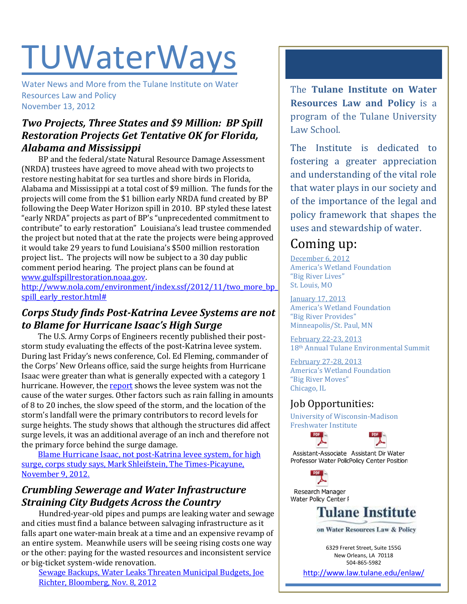# **TUWaterWays**

Water News and More from the Tulane Institute on Water Resources Law and Policy November 13, 2012

## *Two Projects, Three States and \$9 Million: BP Spill Restoration Projects Get Tentative OK for Florida, Alabama and Mississippi*

BP and the federal/state Natural Resource Damage Assessment (NRDA) trustees have agreed to move ahead with two projects to restore nesting habitat for sea turtles and shore birds in Florida, Alabama and Mississippi at a total cost of \$9 million. The funds for the projects will come from the \$1 billion early NRDA fund created by BP following the Deep Water Horizon spill in 2010. BP styled these latest "early NRDA" projects as part of BP's "unprecedented commitment to contribute" to early restoration" Louisiana's lead trustee commended the project but noted that at the rate the projects were being approved it would take 29 years to fund Louisiana's \$500 million restoration project list.. The projects will now be subject to a 30 day public comment period hearing. The project plans can be found at

[www.gulfspillrestoration.noaa.gov.](http://www.gulfspillrestoration.noaa.gov/)

[http://www.nola.com/environment/index.ssf/2012/11/two\\_more\\_bp\\_](http://www.nola.com/environment/index.ssf/2012/11/two_more_bp_spill_early_restor.html) [spill\\_early\\_restor.html#](http://www.nola.com/environment/index.ssf/2012/11/two_more_bp_spill_early_restor.html)

## *Corps Study finds Post-Katrina Levee Systems are not to Blame for Hurricane Isaac's High Surge*

The U.S. Army Corps of Engineers recently published their poststorm study evaluating the effects of the post-Katrina levee system. During last Friday's news conference, Col. Ed Fleming, commander of the Corps' New Orleans office, said the surge heights from Hurricane Isaac were greater than what is generally expected with a category 1 hurricane. However, the [report](http://www.mvn.usace.army.mil/pao/HurrIsaacwapp.pdf) shows the levee system was not the cause of the water surges. Other factors such as rain falling in amounts of 8 to 20 inches, the slow speed of the storm, and the location of the storm's landfall were the primary contributors to record levels for surge heights. The study shows that although the structures did affect surge levels, it was an additional average of an inch and therefore not the primary force behind the surge damage.

[Blame Hurricane Isaac, not post-Katrina levee system, for high](http://www.nola.com/environment/index.ssf/2012/11/blame_isaac_not_post-katrina_l.html)  [surge, corps study says, Mark Shleifstein, The Times-Picayune,](http://www.nola.com/environment/index.ssf/2012/11/blame_isaac_not_post-katrina_l.html)  [November 9, 2012.](http://www.nola.com/environment/index.ssf/2012/11/blame_isaac_not_post-katrina_l.html)

## *Crumbling Sewerage and Water Infrastructure Straining City Budgets Across the Country*

Hundred-year-old pipes and pumps are leaking water and sewage and cities must find a balance between salvaging infrastructure as it falls apart one water-main break at a time and an expensive revamp of an entire system. Meanwhile users will be seeing rising costs one way or the other: paying for the wasted resources and inconsistent service or big-ticket system-wide renovation.

[Sewage Backups, Water Leaks Threaten Municipal Budgets, Joe](http://www.bloomberg.com/news/2012-11-08/sewage-backups-water-leaks-threaten-municipal-budgets.html)  [Richter, Bloomberg, Nov. 8, 2012](http://www.bloomberg.com/news/2012-11-08/sewage-backups-water-leaks-threaten-municipal-budgets.html)

The **Tulane Institute on Water Resources Law and Policy** is a program of the Tulane University Law School.

The Institute is dedicated to fostering a greater appreciation and understanding of the vital role that water plays in our society and of the importance of the legal and policy framework that shapes the uses and stewardship of water.

# Coming up:

December 6, 2012 America's Wetland Foundation "Big River Lives" St. Louis, MO

January 17, 2013 America's Wetland Foundation "Big River Provides" Minneapolis/St. Paul, MN

February 22-23, 2013 18th Annual Tulane Environmental Summit

February 27-28, 2013 America's Wetland Foundation "Big River Moves" Chicago, IL

## Job Opportunities:

University of Wisconsin-Madison Freshwater Institute



Assistant-Associate Assistant Dir Water Professor Water PolicPolicy Center Position

PDF Research Manager Water Policy Center F

**DDF** 



on Water Resources Law & Policy

6329 Freret Street, Suite 155G New Orleans, LA 70118 504-865-5982

<http://www.law.tulane.edu/enlaw/>